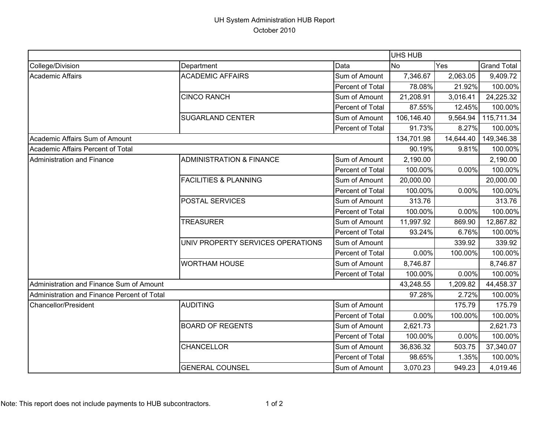## UH System Administration HUB Report October 2010

|                                             |                                     |                  | UHS HUB    |           |                    |
|---------------------------------------------|-------------------------------------|------------------|------------|-----------|--------------------|
| College/Division                            | Department                          | Data             | <b>No</b>  | Yes       | <b>Grand Total</b> |
| <b>Academic Affairs</b>                     | <b>ACADEMIC AFFAIRS</b>             | Sum of Amount    | 7,346.67   | 2,063.05  | 9,409.72           |
|                                             |                                     | Percent of Total | 78.08%     | 21.92%    | 100.00%            |
|                                             | <b>CINCO RANCH</b>                  | Sum of Amount    | 21,208.91  | 3,016.41  | 24,225.32          |
|                                             |                                     | Percent of Total | 87.55%     | 12.45%    | 100.00%            |
|                                             | <b>SUGARLAND CENTER</b>             | Sum of Amount    | 106,146.40 | 9,564.94  | 115,711.34         |
|                                             |                                     | Percent of Total | 91.73%     | 8.27%     | 100.00%            |
| Academic Affairs Sum of Amount              |                                     |                  | 134,701.98 | 14,644.40 | 149,346.38         |
| Academic Affairs Percent of Total           |                                     | 90.19%           | 9.81%      | 100.00%   |                    |
| Administration and Finance                  | <b>ADMINISTRATION &amp; FINANCE</b> | Sum of Amount    | 2,190.00   |           | 2,190.00           |
|                                             |                                     | Percent of Total | 100.00%    | 0.00%     | 100.00%            |
|                                             | <b>FACILITIES &amp; PLANNING</b>    | Sum of Amount    | 20,000.00  |           | 20,000.00          |
|                                             |                                     | Percent of Total | 100.00%    | 0.00%     | 100.00%            |
|                                             | POSTAL SERVICES                     | Sum of Amount    | 313.76     |           | 313.76             |
|                                             |                                     | Percent of Total | 100.00%    | 0.00%     | 100.00%            |
|                                             | <b>TREASURER</b>                    | Sum of Amount    | 11,997.92  | 869.90    | 12,867.82          |
|                                             |                                     | Percent of Total | 93.24%     | 6.76%     | 100.00%            |
|                                             | UNIV PROPERTY SERVICES OPERATIONS   | Sum of Amount    |            | 339.92    | 339.92             |
|                                             |                                     | Percent of Total | 0.00%      | 100.00%   | 100.00%            |
|                                             | <b>WORTHAM HOUSE</b>                | Sum of Amount    | 8,746.87   |           | 8,746.87           |
|                                             |                                     | Percent of Total | 100.00%    | 0.00%     | 100.00%            |
| Administration and Finance Sum of Amount    |                                     |                  | 43,248.55  | 1,209.82  | 44,458.37          |
| Administration and Finance Percent of Total |                                     | 97.28%           | 2.72%      | 100.00%   |                    |
| <b>Chancellor/President</b>                 | <b>AUDITING</b>                     | Sum of Amount    |            | 175.79    | 175.79             |
|                                             |                                     | Percent of Total | 0.00%      | 100.00%   | 100.00%            |
|                                             | <b>BOARD OF REGENTS</b>             | Sum of Amount    | 2,621.73   |           | 2,621.73           |
|                                             |                                     | Percent of Total | 100.00%    | 0.00%     | 100.00%            |
|                                             | <b>CHANCELLOR</b>                   | Sum of Amount    | 36,836.32  | 503.75    | 37,340.07          |
|                                             |                                     | Percent of Total | 98.65%     | 1.35%     | 100.00%            |
|                                             | <b>GENERAL COUNSEL</b>              | Sum of Amount    | 3,070.23   | 949.23    | 4,019.46           |